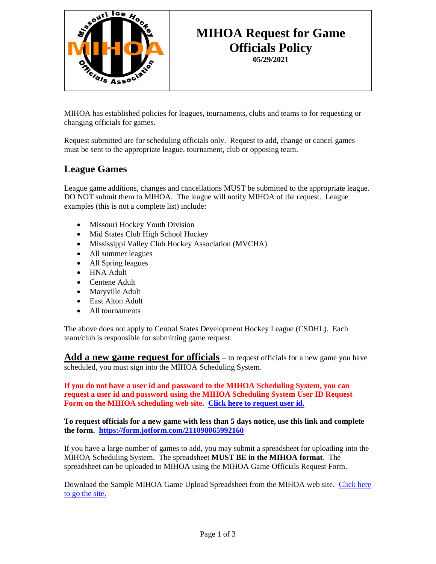

## **MIHOA Request for Game Officials Policy 05/29/2021**

MIHOA has established policies for leagues, tournaments, clubs and teams to for requesting or changing officials for games.

Request submitted are for scheduling officials only. Request to add, change or cancel games must be sent to the appropriate league, tournament, club or opposing team.

## **League Games**

League game additions, changes and cancellations MUST be submitted to the appropriate league. DO NOT submit them to MIHOA. The league will notify MIHOA of the request. League examples (this is not a complete list) include:

- Missouri Hockey Youth Division
- Mid States Club High School Hockey
- Mississippi Valley Club Hockey Association (MVCHA)
- All summer leagues
- All Spring leagues
- HNA Adult
- Centene Adult
- Maryville Adult
- East Alton Adult
- All tournaments

The above does not apply to Central States Development Hockey League (CSDHL). Each team/club is responsible for submitting game request.

**Add a new game request for officials** – to request officials for a new game you have scheduled, you must sign into the MIHOA Scheduling System.

**If you do not have a user id and password to the MIHOA Scheduling System, you can request a user id and password using the MIHOA Scheduling System User ID Request Form on the MIHOA scheduling web site. [Click here to request user id.](https://secure.oswebs.com/mihoa/organizations/)**

**To request officials for a new game with less than 5 days notice, use this link and complete the form. <https://form.jotform.com/211098065992160>**

If you have a large number of games to add, you may submit a spreadsheet for uploading into the MIHOA Scheduling System. The spreadsheet **MUST BE in the MIHOA format**. The spreadsheet can be uploaded to MIHOA using the MIHOA Game Officials Request Form.

Download the Sample MIHOA Game Upload Spreadsheet from the MIHOA web site. [Click here](http://www.mihoa.com/schedule-officials-for-games.html)  [to go the](http://www.mihoa.com/schedule-officials-for-games.html) site.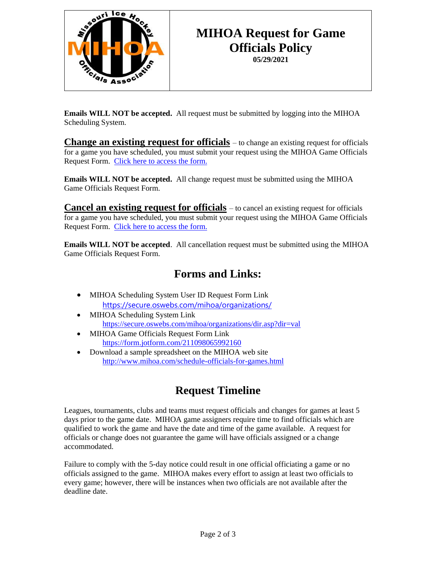

# **MIHOA Request for Game Officials Policy 05/29/2021**

**Emails WILL NOT be accepted.** All request must be submitted by logging into the MIHOA Scheduling System.

**Change an existing request for officials** – to change an existing request for officials for a game you have scheduled, you must submit your request using the MIHOA Game Officials Request Form. [Click here to access the form.](https://form.jotform.com/211098065992160)

**Emails WILL NOT be accepted.** All change request must be submitted using the MIHOA Game Officials Request Form.

**Cancel an existing request for officials** – to cancel an existing request for officials for a game you have scheduled, you must submit your request using the MIHOA Game Officials Request Form. [Click here to access the form.](https://form.jotform.com/211098065992160)

**Emails WILL NOT be accepted**. All cancellation request must be submitted using the MIHOA Game Officials Request Form.

# **Forms and Links:**

- MIHOA Scheduling System User ID Request Form Link <https://secure.oswebs.com/mihoa/organizations/>
- MIHOA Scheduling System Link <https://secure.oswebs.com/mihoa/organizations/dir.asp?dir=val>
- MIHOA Game Officials Request Form Link <https://form.jotform.com/211098065992160>
- Download a sample spreadsheet on the MIHOA web site <http://www.mihoa.com/schedule-officials-for-games.html>

# **Request Timeline**

Leagues, tournaments, clubs and teams must request officials and changes for games at least 5 days prior to the game date. MIHOA game assigners require time to find officials which are qualified to work the game and have the date and time of the game available. A request for officials or change does not guarantee the game will have officials assigned or a change accommodated.

Failure to comply with the 5-day notice could result in one official officiating a game or no officials assigned to the game. MIHOA makes every effort to assign at least two officials to every game; however, there will be instances when two officials are not available after the deadline date.